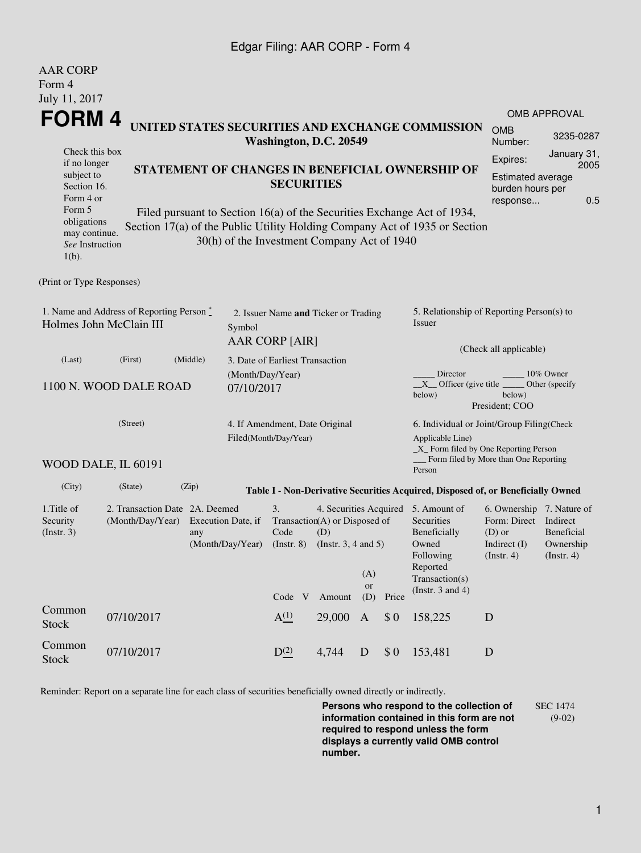### Edgar Filing: AAR CORP - Form 4

AAR CORP

| Form 4<br>July 11, 2017                                                                                                               |                                                  |                                                                                                                                                                                                                                                                              |                                |                                                         |                                                                  |                     |              |                                                                                                                                                     |                                                                                             |                                                                                 |  |
|---------------------------------------------------------------------------------------------------------------------------------------|--------------------------------------------------|------------------------------------------------------------------------------------------------------------------------------------------------------------------------------------------------------------------------------------------------------------------------------|--------------------------------|---------------------------------------------------------|------------------------------------------------------------------|---------------------|--------------|-----------------------------------------------------------------------------------------------------------------------------------------------------|---------------------------------------------------------------------------------------------|---------------------------------------------------------------------------------|--|
|                                                                                                                                       | FORM 4                                           |                                                                                                                                                                                                                                                                              |                                |                                                         |                                                                  |                     |              |                                                                                                                                                     | <b>OMB APPROVAL</b>                                                                         |                                                                                 |  |
|                                                                                                                                       | UNITED STATES SECURITIES AND EXCHANGE COMMISSION | Washington, D.C. 20549                                                                                                                                                                                                                                                       | <b>OMB</b><br>Number:          | 3235-0287                                               |                                                                  |                     |              |                                                                                                                                                     |                                                                                             |                                                                                 |  |
| Check this box<br>if no longer<br>subject to<br>Section 16.<br>Form 4 or<br>Form 5<br>obligations<br>may continue.<br>See Instruction |                                                  | STATEMENT OF CHANGES IN BENEFICIAL OWNERSHIP OF<br><b>SECURITIES</b><br>Filed pursuant to Section 16(a) of the Securities Exchange Act of 1934,<br>Section 17(a) of the Public Utility Holding Company Act of 1935 or Section<br>30(h) of the Investment Company Act of 1940 |                                |                                                         |                                                                  |                     |              |                                                                                                                                                     |                                                                                             | January 31,<br>2005<br>Estimated average<br>burden hours per<br>0.5<br>response |  |
| $1(b)$ .                                                                                                                              |                                                  |                                                                                                                                                                                                                                                                              |                                |                                                         |                                                                  |                     |              |                                                                                                                                                     |                                                                                             |                                                                                 |  |
| (Print or Type Responses)<br>1. Name and Address of Reporting Person $\degree$<br>Holmes John McClain III                             |                                                  |                                                                                                                                                                                                                                                                              | Symbol                         | 2. Issuer Name and Ticker or Trading                    |                                                                  |                     |              | 5. Relationship of Reporting Person(s) to<br>Issuer<br>(Check all applicable)                                                                       |                                                                                             |                                                                                 |  |
|                                                                                                                                       |                                                  | AAR CORP [AIR]                                                                                                                                                                                                                                                               |                                |                                                         |                                                                  |                     |              |                                                                                                                                                     |                                                                                             |                                                                                 |  |
| (Last)<br>(First)<br>(Middle)<br>1100 N. WOOD DALE ROAD                                                                               |                                                  |                                                                                                                                                                                                                                                                              | (Month/Day/Year)<br>07/10/2017 | 3. Date of Earliest Transaction                         |                                                                  |                     |              | Director<br>10% Owner<br>$X$ Officer (give title $\frac{1}{1}$<br>Other (specify<br>below)<br>below)<br>President; COO                              |                                                                                             |                                                                                 |  |
| (Street)                                                                                                                              |                                                  |                                                                                                                                                                                                                                                                              |                                | 4. If Amendment, Date Original<br>Filed(Month/Day/Year) |                                                                  |                     |              | 6. Individual or Joint/Group Filing(Check<br>Applicable Line)<br>_X_ Form filed by One Reporting Person<br>__ Form filed by More than One Reporting |                                                                                             |                                                                                 |  |
|                                                                                                                                       | WOOD DALE, IL 60191                              |                                                                                                                                                                                                                                                                              |                                |                                                         |                                                                  |                     |              | Person                                                                                                                                              |                                                                                             |                                                                                 |  |
| (City)                                                                                                                                | (State)                                          | (Zip)                                                                                                                                                                                                                                                                        |                                |                                                         |                                                                  |                     |              | Table I - Non-Derivative Securities Acquired, Disposed of, or Beneficially Owned                                                                    |                                                                                             |                                                                                 |  |
| 1. Title of<br>Security<br>$($ Instr. 3 $)$                                                                                           | (Month/Day/Year)                                 | 2. Transaction Date 2A. Deemed<br>Execution Date, if<br>any<br>(Month/Day/Year)                                                                                                                                                                                              |                                |                                                         | Transaction(A) or Disposed of<br>(D)<br>(Instr. $3, 4$ and $5$ ) | (A)<br><b>or</b>    |              | 4. Securities Acquired 5. Amount of<br>Securities<br>Beneficially<br>Owned<br>Following<br>Reported<br>Transaction(s)<br>(Instr. $3$ and $4$ )      | 6. Ownership 7. Nature of<br>Form: Direct<br>$(D)$ or<br>Indirect $(I)$<br>$($ Instr. 4 $)$ | Indirect<br>Beneficial<br>Ownership<br>$($ Instr. 4 $)$                         |  |
| Common<br><b>Stock</b>                                                                                                                | 07/10/2017                                       |                                                                                                                                                                                                                                                                              |                                | Code V<br>A <sup>(1)</sup>                              | Amount<br>29,000                                                 | (D)<br>$\mathbf{A}$ | Price<br>\$0 | 158,225                                                                                                                                             | D                                                                                           |                                                                                 |  |
| Common<br><b>Stock</b>                                                                                                                | 07/10/2017                                       |                                                                                                                                                                                                                                                                              |                                | $D^{(2)}$                                               | 4,744                                                            | D                   | \$0          | 153,481                                                                                                                                             | D                                                                                           |                                                                                 |  |

Reminder: Report on a separate line for each class of securities beneficially owned directly or indirectly.

**Persons who respond to the collection of information contained in this form are not required to respond unless the form displays a currently valid OMB control number.** SEC 1474 (9-02)